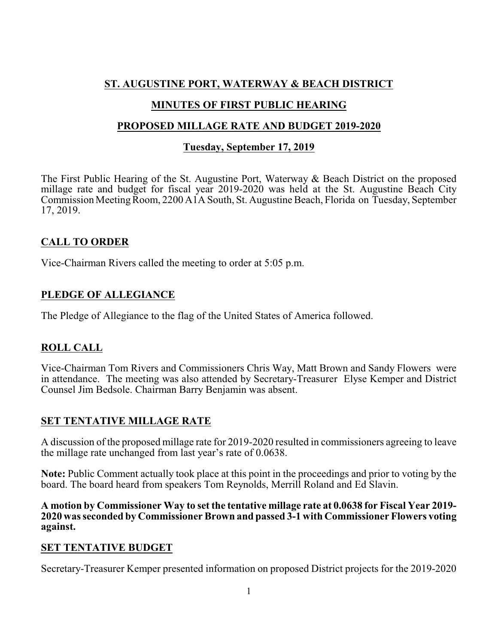# **ST. AUGUSTINE PORT, WATERWAY & BEACH DISTRICT**

## **MINUTES OF FIRST PUBLIC HEARING**

### **PROPOSED MILLAGE RATE AND BUDGET 2019-2020**

## **Tuesday, September 17, 2019**

The First Public Hearing of the St. Augustine Port, Waterway & Beach District on the proposed millage rate and budget for fiscal year 2019-2020 was held at the St. Augustine Beach City Commission Meeting Room, 2200 A1A South, St. Augustine Beach, Florida on Tuesday, September 17, 2019.

# **CALL TO ORDER**

Vice-Chairman Rivers called the meeting to order at 5:05 p.m.

## **PLEDGE OF ALLEGIANCE**

The Pledge of Allegiance to the flag of the United States of America followed.

# **ROLL CALL**

Vice-Chairman Tom Rivers and Commissioners Chris Way, Matt Brown and Sandy Flowers were in attendance. The meeting was also attended by Secretary-Treasurer Elyse Kemper and District Counsel Jim Bedsole. Chairman Barry Benjamin was absent.

### **SET TENTATIVE MILLAGE RATE**

A discussion of the proposed millage rate for 2019-2020 resulted in commissioners agreeing to leave the millage rate unchanged from last year's rate of 0.0638.

**Note:** Public Comment actually took place at this point in the proceedings and prior to voting by the board. The board heard from speakers Tom Reynolds, Merrill Roland and Ed Slavin.

**A motion by Commissioner Way to set the tentative millage rate at 0.0638 for Fiscal Year 2019- 2020 was seconded by Commissioner Brown and passed 3-1 with Commissioner Flowers voting against.**

### **SET TENTATIVE BUDGET**

Secretary-Treasurer Kemper presented information on proposed District projects for the 2019-2020